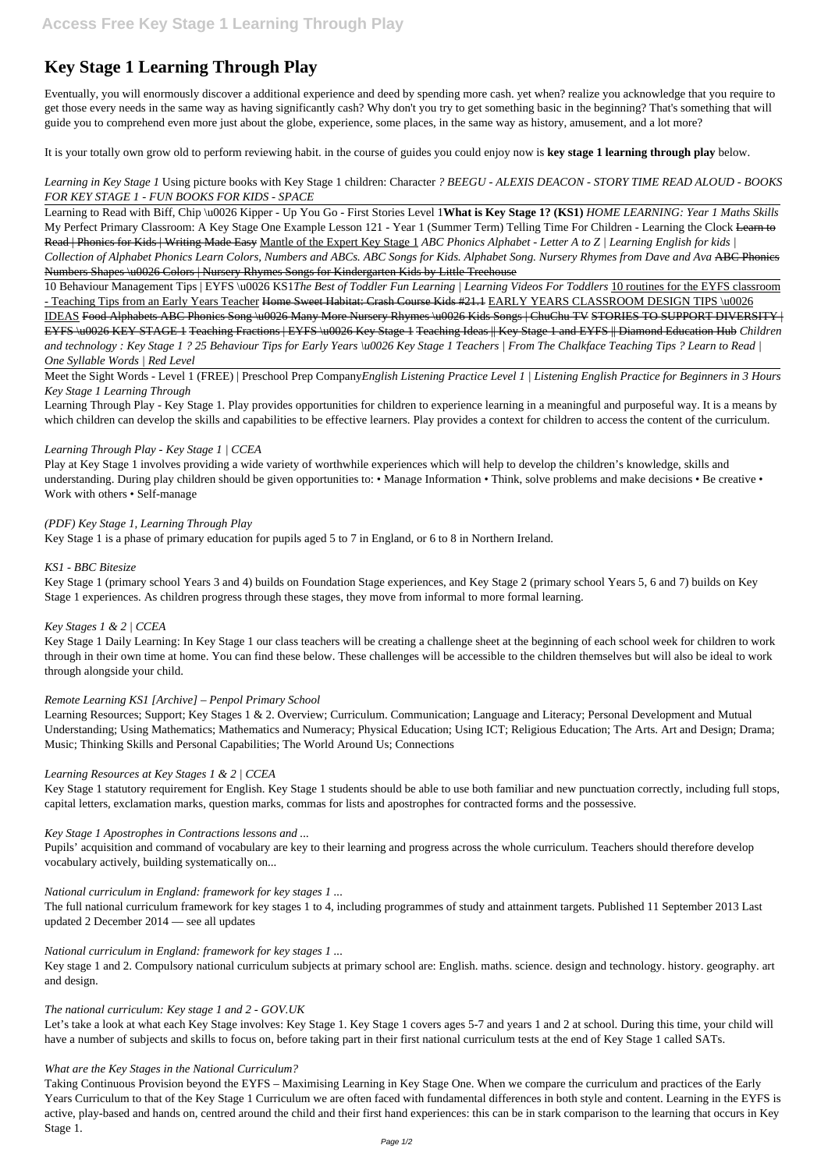# **Key Stage 1 Learning Through Play**

Eventually, you will enormously discover a additional experience and deed by spending more cash. yet when? realize you acknowledge that you require to get those every needs in the same way as having significantly cash? Why don't you try to get something basic in the beginning? That's something that will guide you to comprehend even more just about the globe, experience, some places, in the same way as history, amusement, and a lot more?

It is your totally own grow old to perform reviewing habit. in the course of guides you could enjoy now is **key stage 1 learning through play** below.

## *Learning in Key Stage 1* Using picture books with Key Stage 1 children: Character *? BEEGU - ALEXIS DEACON - STORY TIME READ ALOUD - BOOKS FOR KEY STAGE 1 - FUN BOOKS FOR KIDS - SPACE*

10 Behaviour Management Tips | EYFS \u0026 KS1*The Best of Toddler Fun Learning | Learning Videos For Toddlers* 10 routines for the EYFS classroom - Teaching Tips from an Early Years Teacher Home Sweet Habitat: Crash Course Kids #21.1 EARLY YEARS CLASSROOM DESIGN TIPS \u0026

Learning to Read with Biff, Chip \u0026 Kipper - Up You Go - First Stories Level 1**What is Key Stage 1? (KS1)** *HOME LEARNING: Year 1 Maths Skills* My Perfect Primary Classroom: A Key Stage One Example Lesson 121 - Year 1 (Summer Term) Telling Time For Children - Learning the Clock Learn to Read | Phonics for Kids | Writing Made Easy Mantle of the Expert Key Stage 1 ABC Phonics Alphabet - Letter A to Z | Learning English for kids | *Collection of Alphabet Phonics Learn Colors, Numbers and ABCs. ABC Songs for Kids. Alphabet Song. Nursery Rhymes from Dave and Ava* ABC Phonics Numbers Shapes \u0026 Colors | Nursery Rhymes Songs for Kindergarten Kids by Little Treehouse

Learning Through Play - Key Stage 1. Play provides opportunities for children to experience learning in a meaningful and purposeful way. It is a means by which children can develop the skills and capabilities to be effective learners. Play provides a context for children to access the content of the curriculum.

IDEAS Food Alphabets ABC Phonics Song \u0026 Many More Nursery Rhymes \u0026 Kids Songs | ChuChu TV STORIES TO SUPPORT DIVERSITY | EYFS \u0026 KEY STAGE 1 Teaching Fractions | EYFS \u0026 Key Stage 1 Teaching Ideas || Key Stage 1 and EYFS || Diamond Education Hub *Children and technology : Key Stage 1 ? 25 Behaviour Tips for Early Years \u0026 Key Stage 1 Teachers | From The Chalkface Teaching Tips ? Learn to Read | One Syllable Words | Red Level*

Meet the Sight Words - Level 1 (FREE) | Preschool Prep Company*English Listening Practice Level 1 | Listening English Practice for Beginners in 3 Hours Key Stage 1 Learning Through*

# *Learning Through Play - Key Stage 1 | CCEA*

Play at Key Stage 1 involves providing a wide variety of worthwhile experiences which will help to develop the children's knowledge, skills and understanding. During play children should be given opportunities to: • Manage Information • Think, solve problems and make decisions • Be creative • Work with others • Self-manage

# *(PDF) Key Stage 1, Learning Through Play*

Key Stage 1 is a phase of primary education for pupils aged 5 to 7 in England, or 6 to 8 in Northern Ireland.

# *KS1 - BBC Bitesize*

Key Stage 1 (primary school Years 3 and 4) builds on Foundation Stage experiences, and Key Stage 2 (primary school Years 5, 6 and 7) builds on Key Stage 1 experiences. As children progress through these stages, they move from informal to more formal learning.

# *Key Stages 1 & 2 | CCEA*

Key Stage 1 Daily Learning: In Key Stage 1 our class teachers will be creating a challenge sheet at the beginning of each school week for children to work through in their own time at home. You can find these below. These challenges will be accessible to the children themselves but will also be ideal to work through alongside your child.

# *Remote Learning KS1 [Archive] – Penpol Primary School*

Learning Resources; Support; Key Stages 1 & 2. Overview; Curriculum. Communication; Language and Literacy; Personal Development and Mutual Understanding; Using Mathematics; Mathematics and Numeracy; Physical Education; Using ICT; Religious Education; The Arts. Art and Design; Drama; Music; Thinking Skills and Personal Capabilities; The World Around Us; Connections

# *Learning Resources at Key Stages 1 & 2 | CCEA*

Key Stage 1 statutory requirement for English. Key Stage 1 students should be able to use both familiar and new punctuation correctly, including full stops, capital letters, exclamation marks, question marks, commas for lists and apostrophes for contracted forms and the possessive.

## *Key Stage 1 Apostrophes in Contractions lessons and ...*

Pupils' acquisition and command of vocabulary are key to their learning and progress across the whole curriculum. Teachers should therefore develop vocabulary actively, building systematically on...

*National curriculum in England: framework for key stages 1 ...*

The full national curriculum framework for key stages 1 to 4, including programmes of study and attainment targets. Published 11 September 2013 Last updated 2 December 2014 — see all updates

#### *National curriculum in England: framework for key stages 1 ...*

Key stage 1 and 2. Compulsory national curriculum subjects at primary school are: English. maths. science. design and technology. history. geography. art and design.

#### *The national curriculum: Key stage 1 and 2 - GOV.UK*

Let's take a look at what each Key Stage involves: Key Stage 1. Key Stage 1 covers ages 5-7 and years 1 and 2 at school. During this time, your child will have a number of subjects and skills to focus on, before taking part in their first national curriculum tests at the end of Key Stage 1 called SATs.

#### *What are the Key Stages in the National Curriculum?*

Taking Continuous Provision beyond the EYFS – Maximising Learning in Key Stage One. When we compare the curriculum and practices of the Early Years Curriculum to that of the Key Stage 1 Curriculum we are often faced with fundamental differences in both style and content. Learning in the EYFS is active, play-based and hands on, centred around the child and their first hand experiences: this can be in stark comparison to the learning that occurs in Key Stage 1.